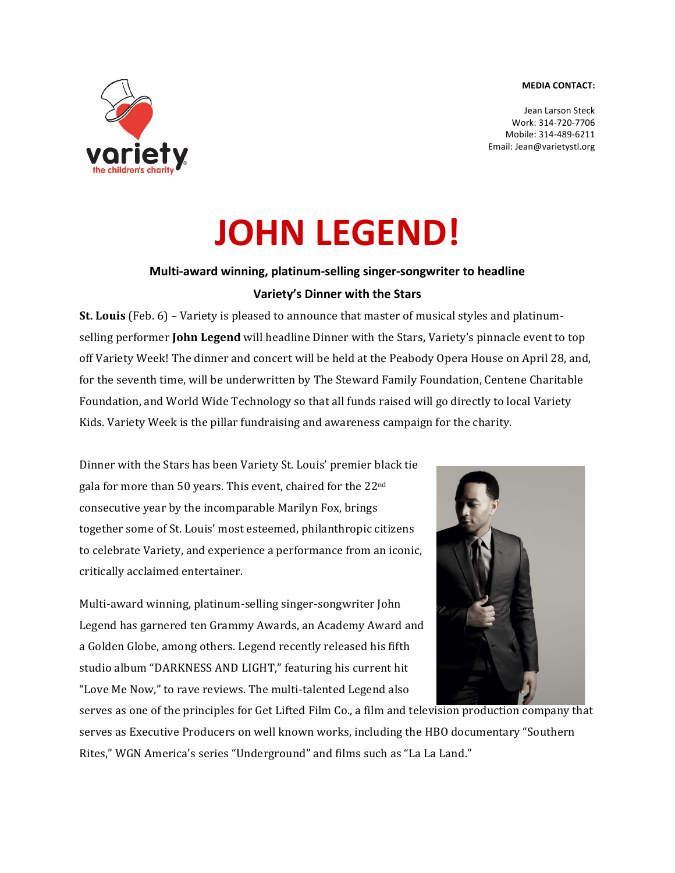## **MEDIA CONTACT:**



Jean Larson Steck Work: 314-720-7706 Mobile: 314-489-6211 Email: Jean@varietystl.org

## **JOHN LEGEND!**

## **Multi-award winning, platinum-selling singer-songwriter to headline Variety's Dinner with the Stars**

**St. Louis** (Feb. 6) – Variety is pleased to announce that master of musical styles and platinumselling performer **John Legend** will headline Dinner with the Stars, Variety's pinnacle event to top off Variety Week! The dinner and concert will be held at the Peabody Opera House on April 28, and, for the seventh time, will be underwritten by The Steward Family Foundation, Centene Charitable Foundation, and World Wide Technology so that all funds raised will go directly to local Variety Kids. Variety Week is the pillar fundraising and awareness campaign for the charity.

Dinner with the Stars has been Variety St. Louis' premier black tie gala for more than 50 years. This event, chaired for the  $22^{\text{nd}}$ consecutive year by the incomparable Marilyn Fox, brings together some of St. Louis' most esteemed, philanthropic citizens to celebrate Variety, and experience a performance from an iconic, critically acclaimed entertainer.

Multi-award winning, platinum-selling singer-songwriter John Legend has garnered ten Grammy Awards, an Academy Award and a Golden Globe, among others. Legend recently released his fifth studio album "DARKNESS AND LIGHT," featuring his current hit "Love Me Now," to rave reviews. The multi-talented Legend also



serves as one of the principles for Get Lifted Film Co., a film and television production company that serves as Executive Producers on well known works, including the HBO documentary "Southern Rites," WGN America's series "Underground" and films such as "La La Land."